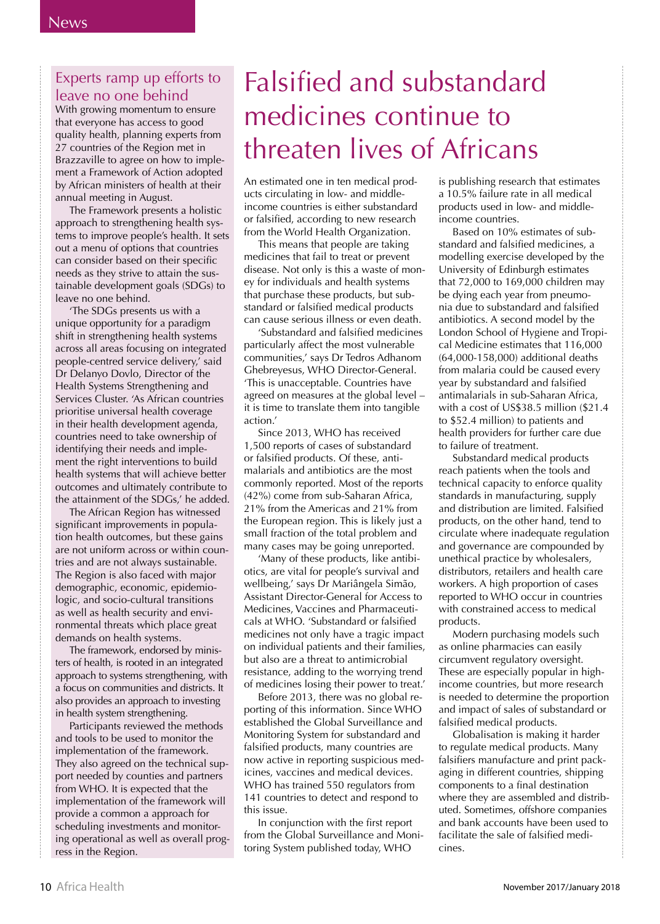### Experts ramp up efforts to leave no one behind

With growing momentum to ensure that everyone has access to good quality health, planning experts from 27 countries of the Region met in Brazzaville to agree on how to implement a Framework of Action adopted by African ministers of health at their annual meeting in August.

The Framework presents a holistic approach to strengthening health systems to improve people's health. It sets out a menu of options that countries can consider based on their specific needs as they strive to attain the sustainable development goals (SDGs) to leave no one behind.

'The SDGs presents us with a unique opportunity for a paradigm shift in strengthening health systems across all areas focusing on integrated people-centred service delivery,' said Dr Delanyo Dovlo, Director of the Health Systems Strengthening and Services Cluster. 'As African countries prioritise universal health coverage in their health development agenda, countries need to take ownership of identifying their needs and implement the right interventions to build health systems that will achieve better outcomes and ultimately contribute to the attainment of the SDGs,' he added.

The African Region has witnessed significant improvements in population health outcomes, but these gains are not uniform across or within countries and are not always sustainable. The Region is also faced with major demographic, economic, epidemiologic, and socio-cultural transitions as well as health security and environmental threats which place great demands on health systems.

The framework, endorsed by ministers of health, is rooted in an integrated approach to systems strengthening, with a focus on communities and districts. It also provides an approach to investing in health system strengthening.

Participants reviewed the methods and tools to be used to monitor the implementation of the framework. They also agreed on the technical support needed by counties and partners from WHO. It is expected that the implementation of the framework will provide a common a approach for scheduling investments and monitoring operational as well as overall progress in the Region.

# **Falsified and substandard** medicines continue to threaten lives of Africans

An estimated one in ten medical products circulating in low- and middleincome countries is either substandard or falsified, according to new research from the World Health Organization.

This means that people are taking medicines that fail to treat or prevent disease. Not only is this a waste of money for individuals and health systems that purchase these products, but substandard or falsified medical products can cause serious illness or even death.

'Substandard and falsified medicines particularly affect the most vulnerable communities.' says Dr Tedros Adhanom Ghebreyesus, WHO Director-General. 'This is unacceptable. Countries have agreed on measures at the global level it is time to translate them into tangible  $\arctan'$ 

Since 2013, WHO has received 1,500 reports of cases of substandard or falsified products. Of these, antimalarials and antibiotics are the most commonly reported. Most of the reports (42%) come from sub-Saharan Africa, 21% from the Americas and 21% from the European region. This is likely just a small fraction of the total problem and many cases may be going unreported.

'Many of these products, like antibiotics, are vital for people's survival and wellbeing,' says Dr Mariângela Simão, Assistant Director-General for Access to Medicines, Vaccines and Pharmaceuticals at WHO. 'Substandard or falsified medicines not only have a tragic impact on individual patients and their families, but also are a threat to antimicrobial resistance, adding to the worrying trend of medicines losing their power to treat.'

Before 2013, there was no global reporting of this information. Since WHO established the Global Surveillance and Monitoring System for substandard and falsified products, many countries are now active in reporting suspicious medicines, vaccines and medical devices. WHO has trained 550 regulators from 141 countries to detect and respond to this issue.

In conjunction with the first report from the Global Surveillance and Monitoring System published today, WHO

is publishing research that estimates a 10.5% failure rate in all medical products used in low- and middleincome countries.

Based on 10% estimates of substandard and falsified medicines, a modelling exercise developed by the University of Edinburgh estimates that  $72,000$  to  $169,000$  children may be dying each year from pneumonia due to substandard and falsified antibiotics. A second model by the London School of Hygiene and Tropical Medicine estimates that 116,000 (64.000-158.000) additional deaths from malaria could be caused every vear by substandard and falsified antimalarials in sub-Saharan Africa. with a cost of US\$38.5 million (\$21.4) to \$52.4 million) to patients and health providers for further care due to failure of treatment.

Substandard medical products reach patients when the tools and technical capacity to enforce quality standards in manufacturing, supply and distribution are limited. Falsified products, on the other hand, tend to circulate where inadequate regulation and governance are compounded by unethical practice by wholesalers, distributors, retailers and health care workers. A high proportion of cases reported to WHO occur in countries with constrained access to medical products.

Modern purchasing models such as online pharmacies can easily circumvent regulatory oversight. These are especially popular in highincome countries, but more research is needed to determine the proportion and impact of sales of substandard or falsified medical products.

Globalisation is making it harder to regulate medical products. Many falsifiers manufacture and print packaging in different countries, shipping components to a final destination where they are assembled and distributed. Sometimes, offshore companies and bank accounts have been used to facilitate the sale of falsified medicines.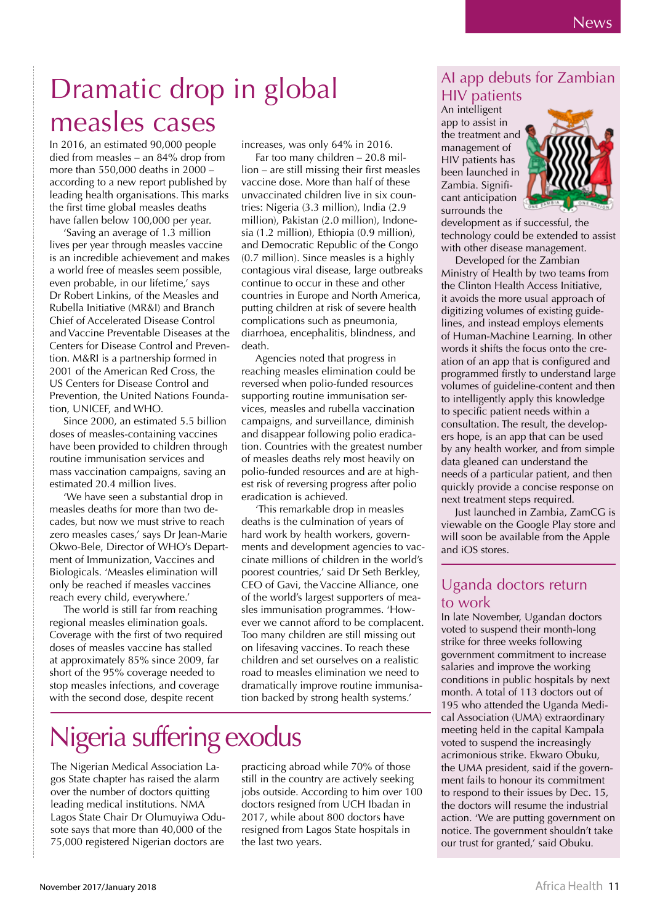### Dramatic drop in global measles cases

In 2016, an estimated 90,000 people died from measles - an 84% drop from more than 550,000 deaths in 2000 according to a new report published by leading health organisations. This marks the first time global measles deaths have fallen below 100,000 per year.

'Saving an average of 1.3 million lives per year through measles vaccine is an incredible achievement and makes a world free of measles seem possible, even probable, in our lifetime,' says Dr Robert Linkins, of the Measles and Rubella Initiative (MR&I) and Branch Chief of Accelerated Disease Control and Vaccine Preventable Diseases at the Centers for Disease Control and Prevention. M&RI is a partnership formed in 2001 of the American Red Cross, the US Centers for Disease Control and Prevention, the United Nations Foundation, UNICEF, and WHO.

Since 2000, an estimated 5.5 billion doses of measles-containing vaccines have been provided to children through routine immunisation services and mass vaccination campaigns, saving an estimated 20.4 million lives.

'We have seen a substantial drop in measles deaths for more than two decades but now we must strive to reach zero measles cases,' says Dr Jean-Marie Okwo-Bele, Director of WHO's Department of Immunization, Vaccines and Biologicals. 'Measles elimination will only be reached if measles vaccines reach every child, everywhere.'

The world is still far from reaching regional measles elimination goals. Coverage with the first of two required doses of measles vaccine has stalled at approximately 85% since 2009, far short of the 95% coverage needed to stop measles infections, and coverage with the second dose, despite recent

increases, was only 64% in 2016.

Far too many children - 20.8 million – are still missing their first measles vaccine dose. More than half of these unvaccinated children live in six countries: Nigeria (3.3 million), India (2.9 million), Pakistan (2.0 million), Indonesia (1.2 million), Ethiopia (0.9 million), and Democratic Republic of the Congo  $(0.7 \text{ million})$ . Since measles is a highly contagious viral disease, large outbreaks continue to occur in these and other countries in Europe and North America, putting children at risk of severe health complications such as pneumonia, diarrhoea, encephalitis, blindness, and death.

Agencies noted that progress in reaching measles elimination could be reversed when polio-funded resources supporting routine immunisation services, measles and rubella vaccination campaigns, and surveillance, diminish and disappear following polio eradication. Countries with the greatest number of measles deaths rely most heavily on polio-funded resources and are at highest risk of reversing progress after polio eradication is achieved.

'This remarkable drop in measles deaths is the culmination of years of hard work by health workers, governments and development agencies to vaccinate millions of children in the world's poorest countries,' said Dr Seth Berkley, CEO of Gavi, the Vaccine Alliance, one of the world's largest supporters of measles immunisation programmes. 'However we cannot afford to be complacent. Too many children are still missing out on lifesaving vaccines. To reach these children and set ourselves on a realistic road to measles elimination we need to dramatically improve routine immunisation backed by strong health systems.'

# Nigeria suffering exodus

The Nigerian Medical Association Lagos State chapter has raised the alarm over the number of doctors quitting leading medical institutions. NMA Lagos State Chair Dr Olumuyiwa Odusote says that more than 40,000 of the 75,000 registered Nigerian doctors are

practicing abroad while 70% of those still in the country are actively seeking jobs outside. According to him over 100 doctors resigned from UCH Ibadan in 2017, while about 800 doctors have resigned from Lagos State hospitals in the last two years.

#### Al app debuts for Zambian **HIV** patients

An intelligent app to assist in the treatment and management of HIV patients has been launched in Zambia. Significant anticipation surrounds the



development as if successful, the technology could be extended to assist with other disease management.

Developed for the Zambian Ministry of Health by two teams from the Clinton Health Access Initiative, it avoids the more usual approach of digitizing volumes of existing guidelines, and instead employs elements of Human-Machine Learning. In other words it shifts the focus onto the creation of an app that is configured and programmed firstly to understand large volumes of guideline-content and then to intelligently apply this knowledge to specific patient needs within a consultation. The result, the developers hope, is an app that can be used by any health worker, and from simple data gleaned can understand the needs of a particular patient, and then quickly provide a concise response on next treatment steps required.

Just launched in Zambia, ZamCG is viewable on the Google Play store and will soon be available from the Apple and iOS stores.

#### Uganda doctors return to work

In late November, Ugandan doctors voted to suspend their month-long strike for three weeks following government commitment to increase salaries and improve the working conditions in public hospitals by next month. A total of 113 doctors out of 195 who attended the Uganda Medical Association (UMA) extraordinary meeting held in the capital Kampala voted to suspend the increasingly acrimonious strike. Ekwaro Obuku, the UMA president, said if the government fails to honour its commitment to respond to their issues by Dec. 15, the doctors will resume the industrial action. 'We are putting government on notice. The government shouldn't take our trust for granted,' said Obuku.